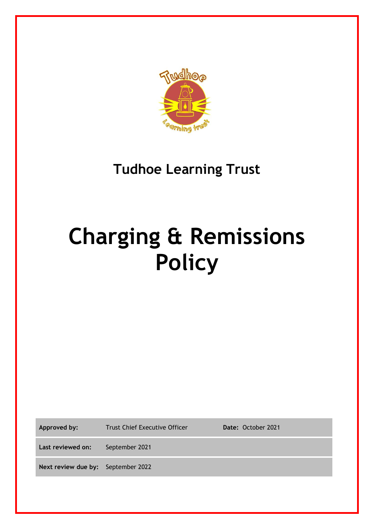

# **Tudhoe Learning Trust**

# **Charging & Remissions Policy**

**Approved by:** Trust Chief Executive Officer **Date:** October 2021

**Last reviewed on:** September 2021

**Next review due by:** September 2022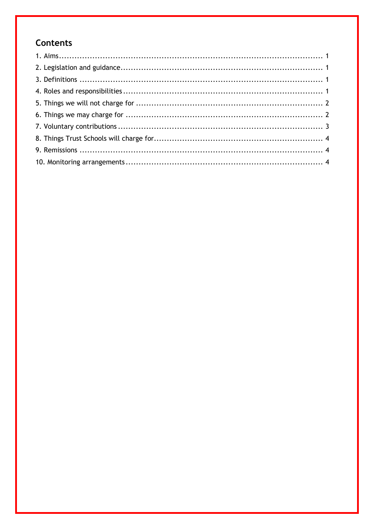# **Contents**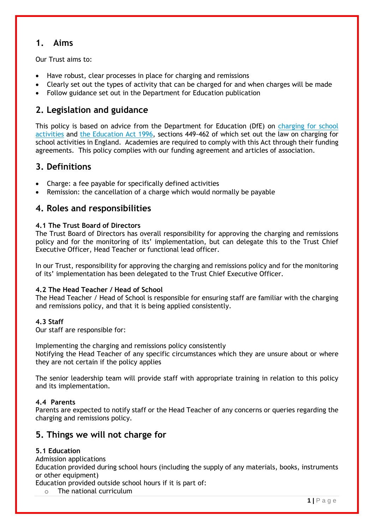# **1. Aims**

Our Trust aims to:

- Have robust, clear processes in place for charging and remissions
- Clearly set out the types of activity that can be charged for and when charges will be made
- Follow guidance set out in the Department for Education publication

# **2. Legislation and guidance**

This policy is based on advice from the Department for Education (DfE) on charging for school [activities](https://www.gov.uk/government/publications/charging-for-school-activities) and [the Education Act 1996,](http://www.legislation.gov.uk/ukpga/1996/56/part/VI/chapter/III) sections 449-462 of which set out the law on charging for school activities in England. Academies are required to comply with this Act through their funding agreements. This policy complies with our funding agreement and articles of association.

# **3. Definitions**

- Charge: a fee payable for specifically defined activities
- Remission: the cancellation of a charge which would normally be payable

# **4. Roles and responsibilities**

#### **4.1 The Trust Board of Directors**

The Trust Board of Directors has overall responsibility for approving the charging and remissions policy and for the monitoring of its' implementation, but can delegate this to the Trust Chief Executive Officer, Head Teacher or functional lead officer.

In our Trust, responsibility for approving the charging and remissions policy and for the monitoring of its' implementation has been delegated to the Trust Chief Executive Officer.

#### **4.2 The Head Teacher / Head of School**

The Head Teacher / Head of School is responsible for ensuring staff are familiar with the charging and remissions policy, and that it is being applied consistently.

#### **4.3 Staff**

Our staff are responsible for:

Implementing the charging and remissions policy consistently Notifying the Head Teacher of any specific circumstances which they are unsure about or where they are not certain if the policy applies

The senior leadership team will provide staff with appropriate training in relation to this policy and its implementation.

#### **4.4 Parents**

Parents are expected to notify staff or the Head Teacher of any concerns or queries regarding the charging and remissions policy.

# **5. Things we will not charge for**

#### **5.1 Education**

Admission applications

Education provided during school hours (including the supply of any materials, books, instruments or other equipment)

Education provided outside school hours if it is part of:

o The national curriculum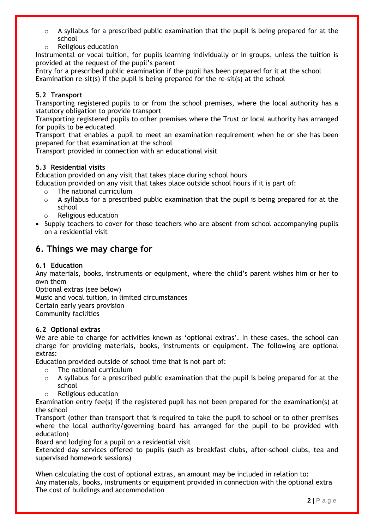- $\circ$  A syllabus for a prescribed public examination that the pupil is being prepared for at the school
- o Religious education

Instrumental or vocal tuition, for pupils learning individually or in groups, unless the tuition is provided at the request of the pupil's parent

Entry for a prescribed public examination if the pupil has been prepared for it at the school Examination re-sit(s) if the pupil is being prepared for the re-sit(s) at the school

#### **5.2 Transport**

Transporting registered pupils to or from the school premises, where the local authority has a statutory obligation to provide transport

Transporting registered pupils to other premises where the Trust or local authority has arranged for pupils to be educated

Transport that enables a pupil to meet an examination requirement when he or she has been prepared for that examination at the school

Transport provided in connection with an educational visit

#### **5.3 Residential visits**

Education provided on any visit that takes place during school hours

Education provided on any visit that takes place outside school hours if it is part of:

- o The national curriculum
- $\circ$  A syllabus for a prescribed public examination that the pupil is being prepared for at the school
- o Religious education
- Supply teachers to cover for those teachers who are absent from school accompanying pupils on a residential visit

# **6. Things we may charge for**

#### **6.1 Education**

Any materials, books, instruments or equipment, where the child's parent wishes him or her to own them

Optional extras (see below) Music and vocal tuition, in limited circumstances Certain early years provision Community facilities

#### **6.2 Optional extras**

We are able to charge for activities known as 'optional extras'. In these cases, the school can charge for providing materials, books, instruments or equipment. The following are optional extras:

Education provided outside of school time that is not part of:

- o The national curriculum
- $\circ$  A syllabus for a prescribed public examination that the pupil is being prepared for at the school
- o Religious education

Examination entry fee(s) if the registered pupil has not been prepared for the examination(s) at the school

Transport (other than transport that is required to take the pupil to school or to other premises where the local authority/governing board has arranged for the pupil to be provided with education)

Board and lodging for a pupil on a residential visit

Extended day services offered to pupils (such as breakfast clubs, after-school clubs, tea and supervised homework sessions)

When calculating the cost of optional extras, an amount may be included in relation to: Any materials, books, instruments or equipment provided in connection with the optional extra The cost of buildings and accommodation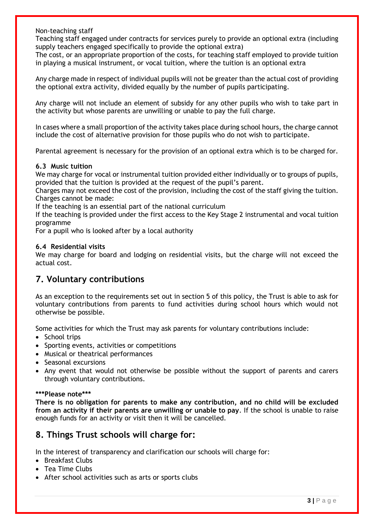#### Non-teaching staff

Teaching staff engaged under contracts for services purely to provide an optional extra (including supply teachers engaged specifically to provide the optional extra)

The cost, or an appropriate proportion of the costs, for teaching staff employed to provide tuition in playing a musical instrument, or vocal tuition, where the tuition is an optional extra

Any charge made in respect of individual pupils will not be greater than the actual cost of providing the optional extra activity, divided equally by the number of pupils participating.

Any charge will not include an element of subsidy for any other pupils who wish to take part in the activity but whose parents are unwilling or unable to pay the full charge.

In cases where a small proportion of the activity takes place during school hours, the charge cannot include the cost of alternative provision for those pupils who do not wish to participate.

Parental agreement is necessary for the provision of an optional extra which is to be charged for.

#### **6.3 Music tuition**

We may charge for vocal or instrumental tuition provided either individually or to groups of pupils, provided that the tuition is provided at the request of the pupil's parent.

Charges may not exceed the cost of the provision, including the cost of the staff giving the tuition. Charges cannot be made:

If the teaching is an essential part of the national curriculum

If the teaching is provided under the first access to the Key Stage 2 instrumental and vocal tuition programme

For a pupil who is looked after by a local authority

#### **6.4 Residential visits**

We may charge for board and lodging on residential visits, but the charge will not exceed the actual cost.

# **7. Voluntary contributions**

As an exception to the requirements set out in section 5 of this policy, the Trust is able to ask for voluntary contributions from parents to fund activities during school hours which would not otherwise be possible.

Some activities for which the Trust may ask parents for voluntary contributions include:

- School trips
- Sporting events, activities or competitions
- Musical or theatrical performances
- Seasonal excursions
- Any event that would not otherwise be possible without the support of parents and carers through voluntary contributions.

#### **\*\*\*Please note\*\*\***

**There is no obligation for parents to make any contribution, and no child will be excluded from an activity if their parents are unwilling or unable to pay**. If the school is unable to raise enough funds for an activity or visit then it will be cancelled.

# **8. Things Trust schools will charge for:**

In the interest of transparency and clarification our schools will charge for:

- Breakfast Clubs
- Tea Time Clubs
- After school activities such as arts or sports clubs